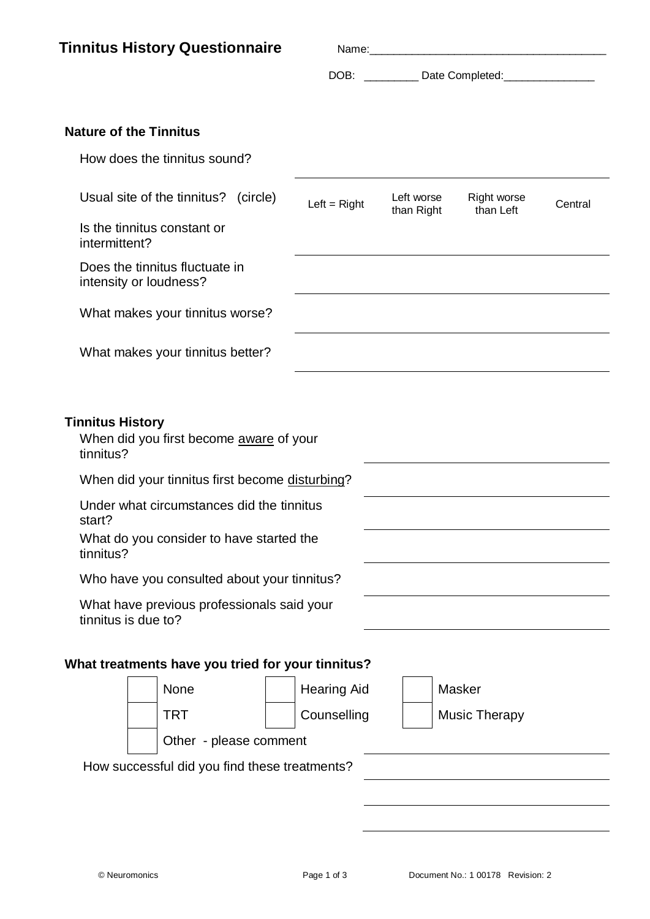| <b>Nature of the Tinnitus</b><br>How does the tinnitus sound?<br>Usual site of the tinnitus? (circle)<br>Left worse<br>Left = $Right$<br>than Right<br>than Left<br>Is the tinnitus constant or<br>intermittent?<br>Does the tinnitus fluctuate in<br>intensity or loudness?<br>What makes your tinnitus worse?<br>What makes your tinnitus better?<br><b>Tinnitus History</b><br>When did you first become aware of your<br>tinnitus?<br>When did your tinnitus first become disturbing?<br>Under what circumstances did the tinnitus<br>start?<br>What do you consider to have started the<br>tinnitus?<br>Who have you consulted about your tinnitus?<br>What have previous professionals said your<br>tinnitus is due to?<br>What treatments have you tried for your tinnitus?<br>None<br>Masker<br><b>Hearing Aid</b> | <b>Right worse</b><br>Central<br>Counselling<br><b>Music Therapy</b> | <b>TRT</b><br>Other - please comment<br>How successful did you find these treatments? | <b>Tinnitus History Questionnaire</b> |  |  |
|----------------------------------------------------------------------------------------------------------------------------------------------------------------------------------------------------------------------------------------------------------------------------------------------------------------------------------------------------------------------------------------------------------------------------------------------------------------------------------------------------------------------------------------------------------------------------------------------------------------------------------------------------------------------------------------------------------------------------------------------------------------------------------------------------------------------------|----------------------------------------------------------------------|---------------------------------------------------------------------------------------|---------------------------------------|--|--|
|                                                                                                                                                                                                                                                                                                                                                                                                                                                                                                                                                                                                                                                                                                                                                                                                                            |                                                                      |                                                                                       |                                       |  |  |
|                                                                                                                                                                                                                                                                                                                                                                                                                                                                                                                                                                                                                                                                                                                                                                                                                            |                                                                      |                                                                                       |                                       |  |  |
|                                                                                                                                                                                                                                                                                                                                                                                                                                                                                                                                                                                                                                                                                                                                                                                                                            |                                                                      |                                                                                       |                                       |  |  |
|                                                                                                                                                                                                                                                                                                                                                                                                                                                                                                                                                                                                                                                                                                                                                                                                                            |                                                                      |                                                                                       |                                       |  |  |
|                                                                                                                                                                                                                                                                                                                                                                                                                                                                                                                                                                                                                                                                                                                                                                                                                            |                                                                      |                                                                                       |                                       |  |  |
|                                                                                                                                                                                                                                                                                                                                                                                                                                                                                                                                                                                                                                                                                                                                                                                                                            |                                                                      |                                                                                       |                                       |  |  |
|                                                                                                                                                                                                                                                                                                                                                                                                                                                                                                                                                                                                                                                                                                                                                                                                                            |                                                                      |                                                                                       |                                       |  |  |
|                                                                                                                                                                                                                                                                                                                                                                                                                                                                                                                                                                                                                                                                                                                                                                                                                            |                                                                      |                                                                                       |                                       |  |  |
|                                                                                                                                                                                                                                                                                                                                                                                                                                                                                                                                                                                                                                                                                                                                                                                                                            |                                                                      |                                                                                       |                                       |  |  |
|                                                                                                                                                                                                                                                                                                                                                                                                                                                                                                                                                                                                                                                                                                                                                                                                                            |                                                                      |                                                                                       |                                       |  |  |
|                                                                                                                                                                                                                                                                                                                                                                                                                                                                                                                                                                                                                                                                                                                                                                                                                            |                                                                      |                                                                                       |                                       |  |  |
|                                                                                                                                                                                                                                                                                                                                                                                                                                                                                                                                                                                                                                                                                                                                                                                                                            |                                                                      |                                                                                       |                                       |  |  |
|                                                                                                                                                                                                                                                                                                                                                                                                                                                                                                                                                                                                                                                                                                                                                                                                                            |                                                                      |                                                                                       |                                       |  |  |
|                                                                                                                                                                                                                                                                                                                                                                                                                                                                                                                                                                                                                                                                                                                                                                                                                            |                                                                      |                                                                                       |                                       |  |  |
|                                                                                                                                                                                                                                                                                                                                                                                                                                                                                                                                                                                                                                                                                                                                                                                                                            |                                                                      |                                                                                       |                                       |  |  |
|                                                                                                                                                                                                                                                                                                                                                                                                                                                                                                                                                                                                                                                                                                                                                                                                                            |                                                                      |                                                                                       |                                       |  |  |
|                                                                                                                                                                                                                                                                                                                                                                                                                                                                                                                                                                                                                                                                                                                                                                                                                            |                                                                      |                                                                                       |                                       |  |  |
|                                                                                                                                                                                                                                                                                                                                                                                                                                                                                                                                                                                                                                                                                                                                                                                                                            |                                                                      |                                                                                       |                                       |  |  |
|                                                                                                                                                                                                                                                                                                                                                                                                                                                                                                                                                                                                                                                                                                                                                                                                                            |                                                                      |                                                                                       |                                       |  |  |
|                                                                                                                                                                                                                                                                                                                                                                                                                                                                                                                                                                                                                                                                                                                                                                                                                            |                                                                      |                                                                                       |                                       |  |  |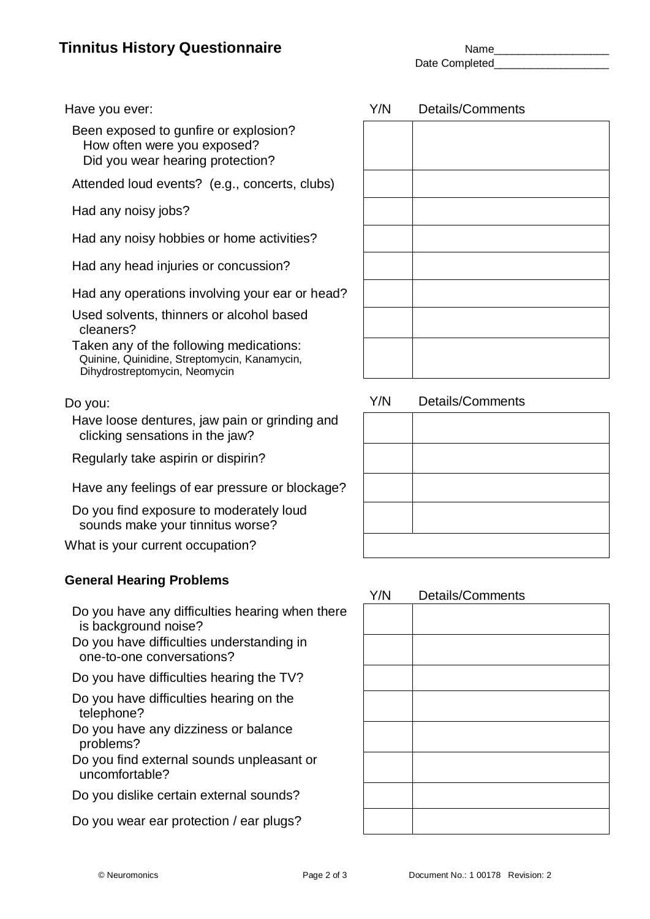# **Tinnitus History Questionnaire** Name\_Name\_Name\_

Date Completed

 Been exposed to gunfire or explosion? How often were you exposed? Did you wear hearing protection?

Attended loud events? (e.g., concerts, clubs)

Had any noisy jobs?

Had any noisy hobbies or home activities?

Had any head injuries or concussion?

Had any operations involving your ear or head?

 Used solvents, thinners or alcohol based cleaners?

 Taken any of the following medications: Quinine, Quinidine, Streptomycin, Kanamycin, Dihydrostreptomycin, Neomycin

 Have loose dentures, jaw pain or grinding and clicking sensations in the jaw?

Regularly take aspirin or dispirin?

Have any feelings of ear pressure or blockage?

 Do you find exposure to moderately loud sounds make your tinnitus worse?

What is your current occupation?

#### **General Hearing Problems**

- Do you have any difficulties hearing when there is background noise?
- Do you have difficulties understanding in one-to-one conversations?

Do you have difficulties hearing the TV?

 Do you have difficulties hearing on the telephone?

 Do you have any dizziness or balance problems?

 Do you find external sounds unpleasant or uncomfortable?

Do you dislike certain external sounds?

Do you wear ear protection / ear plugs?

Do you: Note that the state of the state of the Y/N Details/Comments

#### Y/N Details/Comments



#### Have you ever:  $Y/N$  Details/Comments